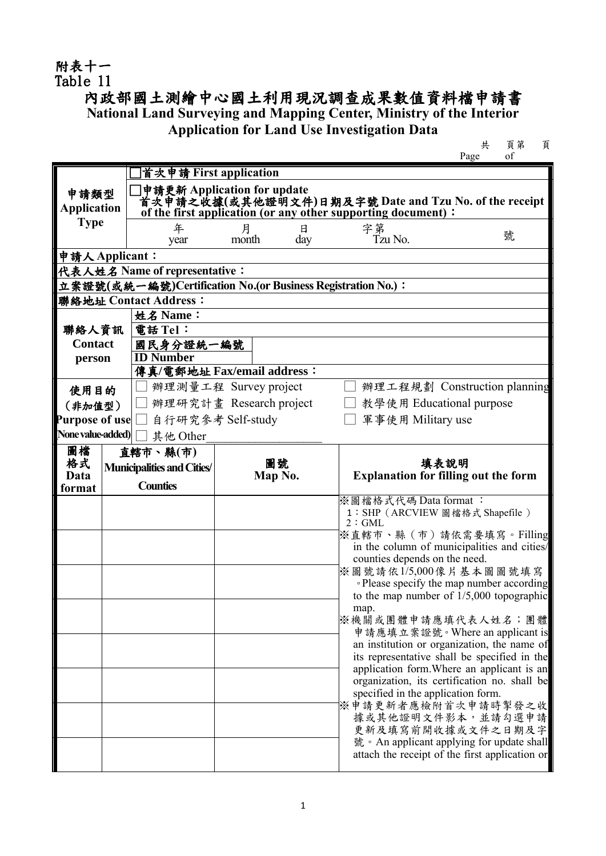## 附表十一 Table 11

## 內政部國土測繪中心國土利用現況調查成果數值資料檔申請書

**National Land Surveying and Mapping Center, Ministry of the Interior**

**Application for Land Use Investigation Data**

共 頁第 頁 Page

|                         |                                                                                                                                             | 首次申請 First application             |                            |        |                                                     |                                                                                            |  |  |  |  |  |
|-------------------------|---------------------------------------------------------------------------------------------------------------------------------------------|------------------------------------|----------------------------|--------|-----------------------------------------------------|--------------------------------------------------------------------------------------------|--|--|--|--|--|
| 申請類型                    |                                                                                                                                             | 申請更新 Application for update        |                            |        |                                                     |                                                                                            |  |  |  |  |  |
|                         | 首次申請之收據(或其他證明文件)日期及字號 Date and Tzu No. of the receipt<br><b>Application</b><br>of the first application (or any other supporting document): |                                    |                            |        |                                                     |                                                                                            |  |  |  |  |  |
| <b>Type</b>             |                                                                                                                                             | 年                                  | 月<br>日                     | 字第     |                                                     |                                                                                            |  |  |  |  |  |
|                         |                                                                                                                                             | year                               | month<br>day               |        | Tzu No.                                             | 號                                                                                          |  |  |  |  |  |
| 申請人 Applicant:          |                                                                                                                                             |                                    |                            |        |                                                     |                                                                                            |  |  |  |  |  |
|                         | 代表人姓名 Name of representative:                                                                                                               |                                    |                            |        |                                                     |                                                                                            |  |  |  |  |  |
|                         | 立案證號(或統一編號)Certification No.(or Business Registration No.):                                                                                 |                                    |                            |        |                                                     |                                                                                            |  |  |  |  |  |
| 聯絡地址 Contact Address:   |                                                                                                                                             |                                    |                            |        |                                                     |                                                                                            |  |  |  |  |  |
|                         |                                                                                                                                             | 姓名 Name:                           |                            |        |                                                     |                                                                                            |  |  |  |  |  |
| 聯絡人資訊<br><b>Contact</b> |                                                                                                                                             | 電話 Tel:<br>國民身分證統一編號               |                            |        |                                                     |                                                                                            |  |  |  |  |  |
| person                  |                                                                                                                                             | <b>ID Number</b>                   |                            |        |                                                     |                                                                                            |  |  |  |  |  |
|                         |                                                                                                                                             |                                    | 傳真/電郵地址 Fax/email address: |        |                                                     |                                                                                            |  |  |  |  |  |
| 使用目的                    |                                                                                                                                             |                                    | 辦理測量工程 Survey project      |        |                                                     | 辦理工程規劃 Construction planning                                                               |  |  |  |  |  |
| (非加值型)                  |                                                                                                                                             |                                    | 辦理研究計畫 Research project    |        | 教學使用 Educational purpose                            |                                                                                            |  |  |  |  |  |
|                         |                                                                                                                                             | Purpose of use □ 自行研究參考 Self-study |                            |        | 軍事使用 Military use                                   |                                                                                            |  |  |  |  |  |
| None value-added)       |                                                                                                                                             | 其他 Other                           |                            |        |                                                     |                                                                                            |  |  |  |  |  |
| 圖檔                      |                                                                                                                                             | 直轄市、縣(市)                           |                            |        |                                                     |                                                                                            |  |  |  |  |  |
| 格式                      |                                                                                                                                             | <b>Municipalities and Cities/</b>  | 圖號                         |        | 填表說明<br><b>Explanation for filling out the form</b> |                                                                                            |  |  |  |  |  |
| Data<br>format          |                                                                                                                                             | <b>Counties</b>                    | Map No.                    |        |                                                     |                                                                                            |  |  |  |  |  |
|                         |                                                                                                                                             |                                    |                            |        | ※圖檔格式代碼 Data format:                                |                                                                                            |  |  |  |  |  |
|                         |                                                                                                                                             |                                    |                            | 2: GML |                                                     | 1: SHP (ARCVIEW 圖檔格式 Shapefile)                                                            |  |  |  |  |  |
|                         |                                                                                                                                             |                                    |                            |        |                                                     | ※直轄市、縣(市)請依需要填寫。Filling                                                                    |  |  |  |  |  |
|                         |                                                                                                                                             |                                    |                            |        |                                                     | in the column of municipalities and cities/                                                |  |  |  |  |  |
|                         |                                                                                                                                             |                                    |                            |        | counties depends on the need.                       | ※圖號請依1/5,000像片基本圖圖號填寫                                                                      |  |  |  |  |  |
|                         |                                                                                                                                             |                                    |                            |        |                                                     | • Please specify the map number according                                                  |  |  |  |  |  |
|                         |                                                                                                                                             |                                    |                            |        |                                                     | to the map number of $1/5,000$ topographic                                                 |  |  |  |  |  |
|                         |                                                                                                                                             |                                    |                            | map.   |                                                     | ※機關或團體申請應填代表人姓名;團體                                                                         |  |  |  |  |  |
|                         |                                                                                                                                             |                                    |                            |        |                                                     | 申請應填立案證號。Where an applicant is                                                             |  |  |  |  |  |
|                         |                                                                                                                                             |                                    |                            |        |                                                     | an institution or organization, the name of                                                |  |  |  |  |  |
|                         |                                                                                                                                             |                                    |                            |        |                                                     | its representative shall be specified in the                                               |  |  |  |  |  |
|                         |                                                                                                                                             |                                    |                            |        |                                                     | application form. Where an applicant is an<br>organization, its certification no. shall be |  |  |  |  |  |
|                         |                                                                                                                                             |                                    |                            |        | specified in the application form.                  |                                                                                            |  |  |  |  |  |
|                         |                                                                                                                                             |                                    |                            |        |                                                     | ※申請更新者應檢附首次申請時掣發之收                                                                         |  |  |  |  |  |
|                         |                                                                                                                                             |                                    |                            |        |                                                     | 據或其他證明文件影本,並請勾選申請<br>更新及填寫前開收據或文件之日期及字                                                     |  |  |  |  |  |
|                         |                                                                                                                                             |                                    |                            |        |                                                     | 號 • An applicant applying for update shall                                                 |  |  |  |  |  |
|                         |                                                                                                                                             |                                    |                            |        |                                                     | attach the receipt of the first application or                                             |  |  |  |  |  |
|                         |                                                                                                                                             |                                    |                            |        |                                                     |                                                                                            |  |  |  |  |  |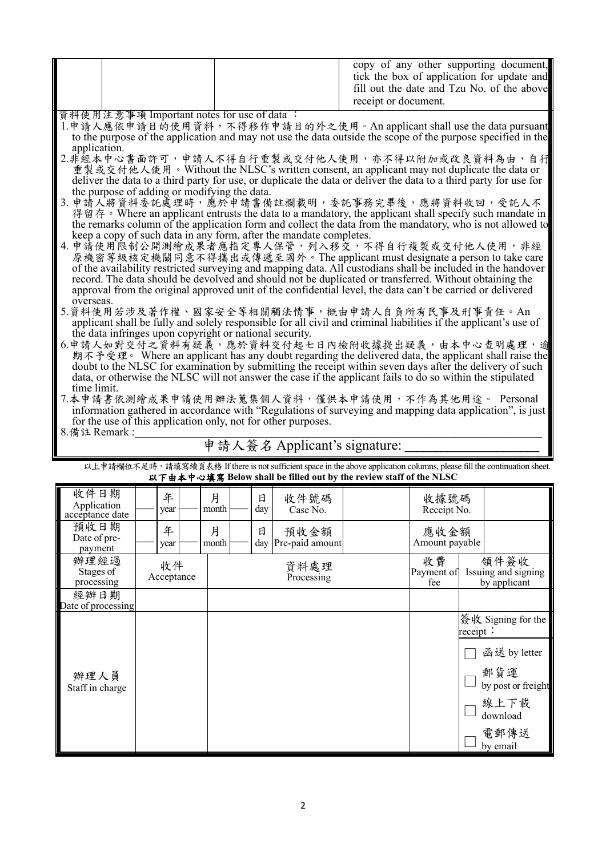|  | copy of any other supporting document,<br>tick the box of application for update and<br>fill out the date and Tzu No. of the above<br>receipt or document. |
|--|------------------------------------------------------------------------------------------------------------------------------------------------------------|
|  |                                                                                                                                                            |

資料使用注意事項 Important notes for use of data :

- 1.申請人應依申請目的使用資料,不得移作申請目的外之使用。An applicant shall use the data pursuant to the purpose of the application and may not use the data outside the scope of the purpose specified in the
- application.<br>2.非經本中心書面許可,申請人不得自行重製或交付他人使用,亦不得以附加或改良資料為由,自行 重製或交付他人使用。Without the NLSC's written consent, an applicant may not duplicate the data or deliver the data to a third party for use, or duplicate the data or deliver the data to a third party for use for the purpose of adding or modifying the data.
- 3. 申請人將資料委託處理時,應於申請書備註欄載明,委託事務完畢後,應將資料收回,受託人不 得留存。Where an applicant entrusts the data to a mandatory, the applicant shall specify such mandate in the remarks column of the application form and collect the data from the mandatory, who is not allowed to keep a copy of such data in any form, after the mandate completes.
- 4. 申請使用限制公開測繪成果者應指定專人保管,列入移交,不得自行複製或交付他人使用,非經<br>- 原機密等級核定機關同意不得攜出或傳遞至國外。The applicant must designate a person to take care of the availability restricted surveying and mapping data. All custodians shall be included in the handover record. The data should be devolved and should not be duplicated or transferred. Without obtaining the approval from the original approved unit of the confidential level, the data can't be carried or delivered overseas.
- 5.資料使用若涉及著作權、國家安全等相關觸法情事,概由申請人自負所有民事及刑事責任。An applicant shall be fully and solely responsible for all civil and criminal liabilities if the applicant's use of the data infringes upon copyright or national security.
- 6.申請人如對交付之資料有疑義,應於資料交付起七日內檢附收據提出疑義,由本中心查明處理,逾<br>期不予受理。 Where an applicant has any doubt regarding the delivered data, the applicant shall raise the doubt to the NLSC for examination by submitting the receipt within seven days after the delivery of such data, or otherwise the NLSC will not answer the case if the applicant fails to do so within the stipulated time limit.
- 7.本申請書依測繪成果申請使用辦法蒐集個人資料,僅供本申請使用,不作為其他用途。 Personal information gathered in accordance with "Regulations of surveying and mapping data application", is just for the use of this application only, not for other purposes.  $8.$  備註 Remark :

## 申請人簽名 Applicant's signature:

以上申請欄位不足時,請填寫續頁表格 If there is not sufficient space in the above application columns, please fill the continuation sheet. 以下由本中心填寫 **Below shall be filled out by the review staff of the NLSC**

| 收件日期<br>Application<br>acceptance date | 年<br>year        |  | 月<br>month         |  | 日<br>day                | 收件號碼<br>Case No.                            |  | 收據號碼<br>Receipt No.    |                                |
|----------------------------------------|------------------|--|--------------------|--|-------------------------|---------------------------------------------|--|------------------------|--------------------------------|
| 預收日期<br>Date of pre-<br>payment        | 年<br>year        |  | 月<br>month         |  | 日                       | 預收金額<br>day Pre-paid amount                 |  | 應收金額<br>Amount payable |                                |
| 辦理經過<br>Stages of<br>processing        | 收件<br>Acceptance |  | 資料處理<br>Processing |  | 收費<br>Payment of<br>fee | 領件簽收<br>Issuing and signing<br>by applicant |  |                        |                                |
| 經辦日期<br>Date of processing             |                  |  |                    |  |                         |                                             |  |                        |                                |
|                                        |                  |  |                    |  |                         |                                             |  |                        | 簽收 Signing for the<br>receipt: |
|                                        |                  |  |                    |  |                         |                                             |  |                        | 函送 by letter                   |
| 辦理人員<br>Staff in charge                |                  |  |                    |  |                         |                                             |  |                        | 郵貨運<br>by post or freight      |
|                                        |                  |  |                    |  |                         |                                             |  |                        | 線上下載<br>download               |
|                                        |                  |  |                    |  |                         |                                             |  |                        | 電郵傳送<br>by email               |